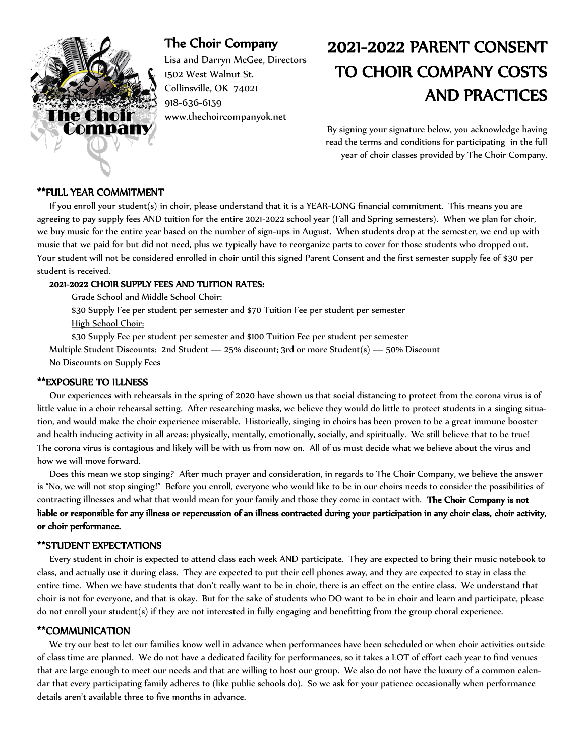

## The Choir Company

Lisa and Darryn McGee, Directors 1502 West Walnut St. Collinsville, OK 74021 918-636-6159 www.thechoircompanyok.net

# 2021-2022 PARENT CONSENT TO CHOIR COMPANY COSTS AND PRACTICES

By signing your signature below, you acknowledge having read the terms and conditions for participating in the full year of choir classes provided by The Choir Company.

#### \*\*FULL YEAR COMMITMENT

 If you enroll your student(s) in choir, please understand that it is a YEAR-LONG financial commitment. This means you are agreeing to pay supply fees AND tuition for the entire 2021-2022 school year (Fall and Spring semesters). When we plan for choir, we buy music for the entire year based on the number of sign-ups in August. When students drop at the semester, we end up with music that we paid for but did not need, plus we typically have to reorganize parts to cover for those students who dropped out. Your student will not be considered enrolled in choir until this signed Parent Consent and the first semester supply fee of \$30 per student is received.

### 2021-2022 CHOIR SUPPLY FEES AND TUITION RATES:

Grade School and Middle School Choir:

\$30 Supply Fee per student per semester and \$70 Tuition Fee per student per semester High School Choir:

\$30 Supply Fee per student per semester and \$100 Tuition Fee per student per semester

 Multiple Student Discounts: 2nd Student — 25% discount; 3rd or more Student(s) — 50% Discount No Discounts on Supply Fees

#### \*\*EXPOSURE TO ILLNESS

 Our experiences with rehearsals in the spring of 2020 have shown us that social distancing to protect from the corona virus is of little value in a choir rehearsal setting. After researching masks, we believe they would do little to protect students in a singing situation, and would make the choir experience miserable. Historically, singing in choirs has been proven to be a great immune booster and health inducing activity in all areas: physically, mentally, emotionally, socially, and spiritually. We still believe that to be true! The corona virus is contagious and likely will be with us from now on. All of us must decide what we believe about the virus and how we will move forward.

 Does this mean we stop singing? After much prayer and consideration, in regards to The Choir Company, we believe the answer is "No, we will not stop singing!" Before you enroll, everyone who would like to be in our choirs needs to consider the possibilities of contracting illnesses and what that would mean for your family and those they come in contact with. The Choir Company is not liable or responsible for any illness or repercussion of an illness contracted during your participation in any choir class, choir activity, or choir performance.

#### \*\*STUDENT EXPECTATIONS

 Every student in choir is expected to attend class each week AND participate. They are expected to bring their music notebook to class, and actually use it during class. They are expected to put their cell phones away, and they are expected to stay in class the entire time. When we have students that don't really want to be in choir, there is an effect on the entire class. We understand that choir is not for everyone, and that is okay. But for the sake of students who DO want to be in choir and learn and participate, please do not enroll your student(s) if they are not interested in fully engaging and benefitting from the group choral experience.

#### \*\*COMMUNICATION

 We try our best to let our families know well in advance when performances have been scheduled or when choir activities outside of class time are planned. We do not have a dedicated facility for performances, so it takes a LOT of effort each year to find venues that are large enough to meet our needs and that are willing to host our group. We also do not have the luxury of a common calendar that every participating family adheres to (like public schools do). So we ask for your patience occasionally when performance details aren't available three to five months in advance.